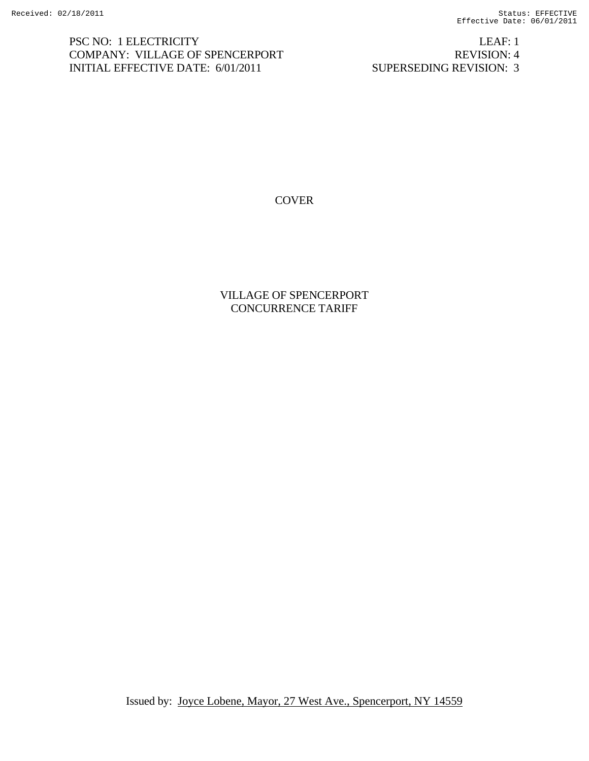PSC NO: 1 ELECTRICITY LEAF: 1 COMPANY: VILLAGE OF SPENCERPORT REVISION: 4 INITIAL EFFECTIVE DATE: 6/01/2011 SUPERSEDING REVISION: 3

COVER

VILLAGE OF SPENCERPORT CONCURRENCE TARIFF

Issued by: Joyce Lobene, Mayor, 27 West Ave., Spencerport, NY 14559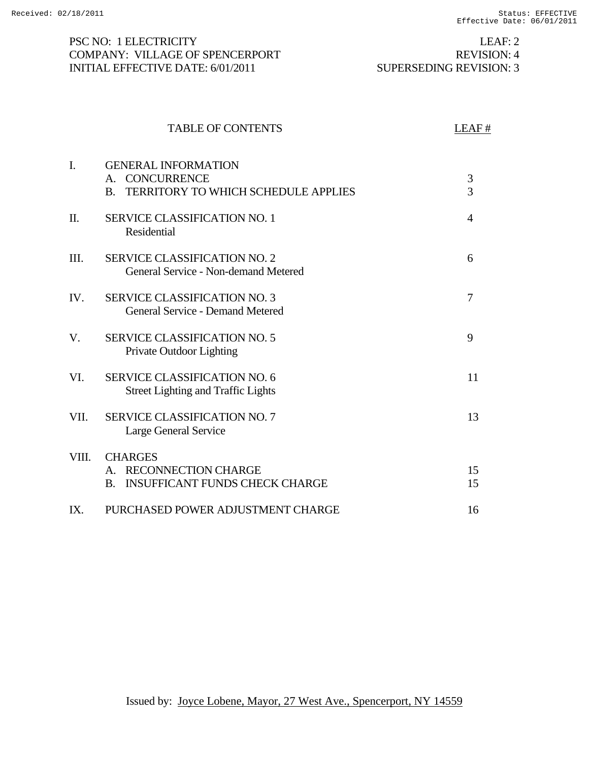### PSC NO: 1 ELECTRICITY LEAF: 2 COMPANY: VILLAGE OF SPENCERPORT REVISION: 4 INITIAL EFFECTIVE DATE: 6/01/2011 SUPERSEDING REVISION: 3

|       | <b>TABLE OF CONTENTS</b>                                                                                    | LEAF#          |
|-------|-------------------------------------------------------------------------------------------------------------|----------------|
| I.    | <b>GENERAL INFORMATION</b><br>A. CONCURRENCE<br>TERRITORY TO WHICH SCHEDULE APPLIES<br>$\mathbf{B}$ .       | 3<br>3         |
| Π.    | <b>SERVICE CLASSIFICATION NO. 1</b><br>Residential                                                          | $\overline{4}$ |
| III.  | <b>SERVICE CLASSIFICATION NO. 2</b><br>General Service - Non-demand Metered                                 | 6              |
| IV.   | <b>SERVICE CLASSIFICATION NO. 3</b><br><b>General Service - Demand Metered</b>                              | $\overline{7}$ |
| V.    | <b>SERVICE CLASSIFICATION NO. 5</b><br>Private Outdoor Lighting                                             | 9              |
| VI.   | <b>SERVICE CLASSIFICATION NO. 6</b><br><b>Street Lighting and Traffic Lights</b>                            | 11             |
| VII.  | SERVICE CLASSIFICATION NO. 7<br>Large General Service                                                       | 13             |
| VIII. | <b>CHARGES</b><br><b>RECONNECTION CHARGE</b><br>$A_{-}$<br><b>INSUFFICANT FUNDS CHECK CHARGE</b><br>$B_{-}$ | 15<br>15       |
| IX.   | PURCHASED POWER ADJUSTMENT CHARGE                                                                           | 16             |

Issued by: Joyce Lobene, Mayor, 27 West Ave., Spencerport, NY 14559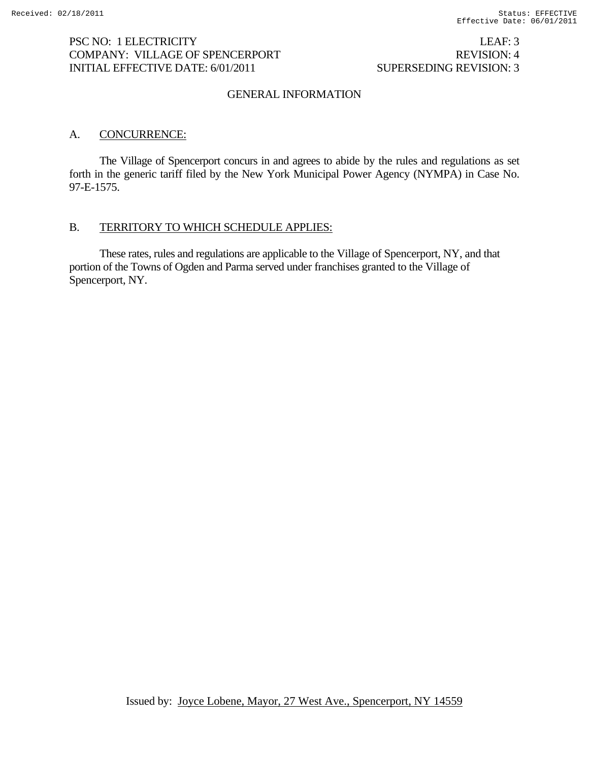## PSC NO: 1 ELECTRICITY LEAF: 3 COMPANY: VILLAGE OF SPENCERPORT REVISION: 4 INITIAL EFFECTIVE DATE: 6/01/2011 SUPERSEDING REVISION: 3

### GENERAL INFORMATION

### A. CONCURRENCE:

 The Village of Spencerport concurs in and agrees to abide by the rules and regulations as set forth in the generic tariff filed by the New York Municipal Power Agency (NYMPA) in Case No. 97-E-1575.

#### B. TERRITORY TO WHICH SCHEDULE APPLIES:

 These rates, rules and regulations are applicable to the Village of Spencerport, NY, and that portion of the Towns of Ogden and Parma served under franchises granted to the Village of Spencerport, NY.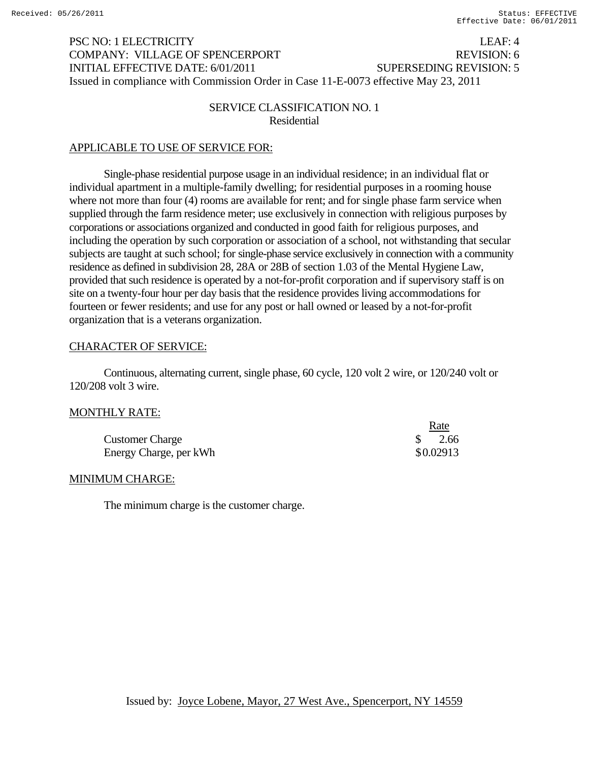# PSC NO: 1 ELECTRICITY LEAF: 4 COMPANY: VILLAGE OF SPENCERPORT REVISION: 6 INITIAL EFFECTIVE DATE: 6/01/2011 SUPERSEDING REVISION: 5 Issued in compliance with Commission Order in Case 11-E-0073 effective May 23, 2011

## SERVICE CLASSIFICATION NO. 1 Residential

## APPLICABLE TO USE OF SERVICE FOR:

Single-phase residential purpose usage in an individual residence; in an individual flat or individual apartment in a multiple-family dwelling; for residential purposes in a rooming house where not more than four (4) rooms are available for rent; and for single phase farm service when supplied through the farm residence meter; use exclusively in connection with religious purposes by corporations or associations organized and conducted in good faith for religious purposes, and including the operation by such corporation or association of a school, not withstanding that secular subjects are taught at such school; for single-phase service exclusively in connection with a community residence as defined in subdivision 28, 28A or 28B of section 1.03 of the Mental Hygiene Law, provided that such residence is operated by a not-for-profit corporation and if supervisory staff is on site on a twenty-four hour per day basis that the residence provides living accommodations for fourteen or fewer residents; and use for any post or hall owned or leased by a not-for-profit organization that is a veterans organization.

### CHARACTER OF SERVICE:

Continuous, alternating current, single phase, 60 cycle, 120 volt 2 wire, or 120/240 volt or 120/208 volt 3 wire.

### MONTHLY RATE:

|                        | <u>Rate</u> |
|------------------------|-------------|
| <b>Customer Charge</b> | 2.66        |
| Energy Charge, per kWh | \$0.02913   |

#### MINIMUM CHARGE:

The minimum charge is the customer charge.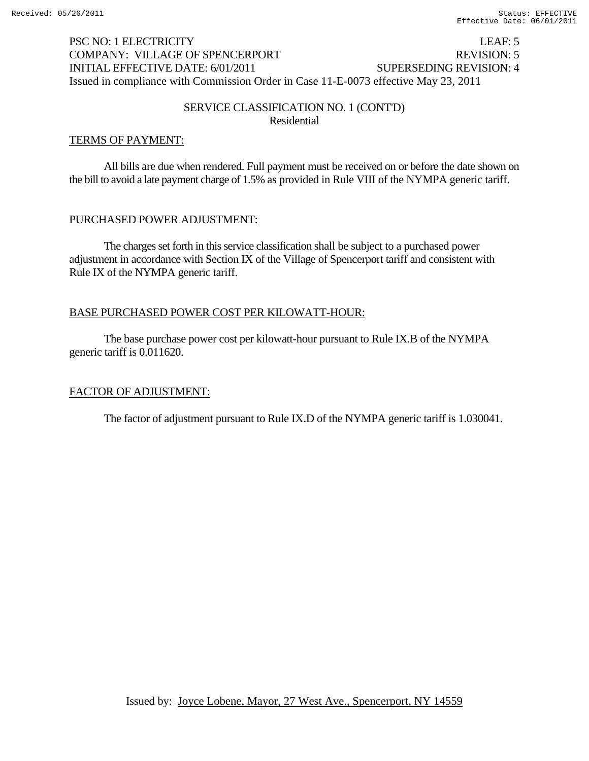# PSC NO: 1 ELECTRICITY LEAF: 5 COMPANY: VILLAGE OF SPENCERPORT REVISION: 5 INITIAL EFFECTIVE DATE: 6/01/2011 SUPERSEDING REVISION: 4 Issued in compliance with Commission Order in Case 11-E-0073 effective May 23, 2011

# SERVICE CLASSIFICATION NO. 1 (CONT'D) Residential

## TERMS OF PAYMENT:

 All bills are due when rendered. Full payment must be received on or before the date shown on the bill to avoid a late payment charge of 1.5% as provided in Rule VIII of the NYMPA generic tariff.

## PURCHASED POWER ADJUSTMENT:

The charges set forth in this service classification shall be subject to a purchased power adjustment in accordance with Section IX of the Village of Spencerport tariff and consistent with Rule IX of the NYMPA generic tariff.

## BASE PURCHASED POWER COST PER KILOWATT-HOUR:

The base purchase power cost per kilowatt-hour pursuant to Rule IX.B of the NYMPA generic tariff is 0.011620.

# FACTOR OF ADJUSTMENT: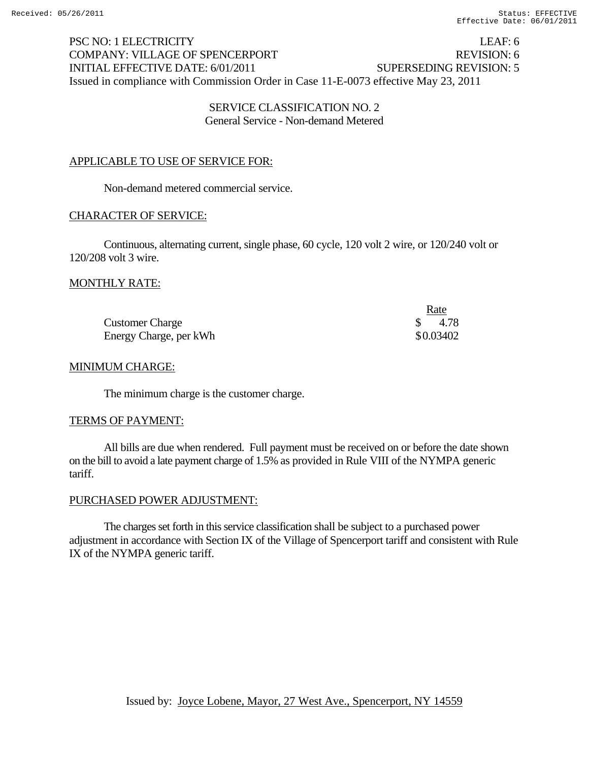PSC NO: 1 ELECTRICITY LEAF: 6 COMPANY: VILLAGE OF SPENCERPORT REVISION: 6 INITIAL EFFECTIVE DATE: 6/01/2011 SUPERSEDING REVISION: 5 Issued in compliance with Commission Order in Case 11-E-0073 effective May 23, 2011

### SERVICE CLASSIFICATION NO. 2 General Service - Non-demand Metered

# APPLICABLE TO USE OF SERVICE FOR:

Non-demand metered commercial service.

### CHARACTER OF SERVICE:

 Continuous, alternating current, single phase, 60 cycle, 120 volt 2 wire, or 120/240 volt or 120/208 volt 3 wire.

### MONTHLY RATE:

|                        | Rate      |
|------------------------|-----------|
| <b>Customer Charge</b> | 4.78      |
| Energy Charge, per kWh | \$0.03402 |

### MINIMUM CHARGE:

The minimum charge is the customer charge.

#### TERMS OF PAYMENT:

All bills are due when rendered. Full payment must be received on or before the date shown on the bill to avoid a late payment charge of 1.5% as provided in Rule VIII of the NYMPA generic tariff.

### PURCHASED POWER ADJUSTMENT:

The charges set forth in this service classification shall be subject to a purchased power adjustment in accordance with Section IX of the Village of Spencerport tariff and consistent with Rule IX of the NYMPA generic tariff.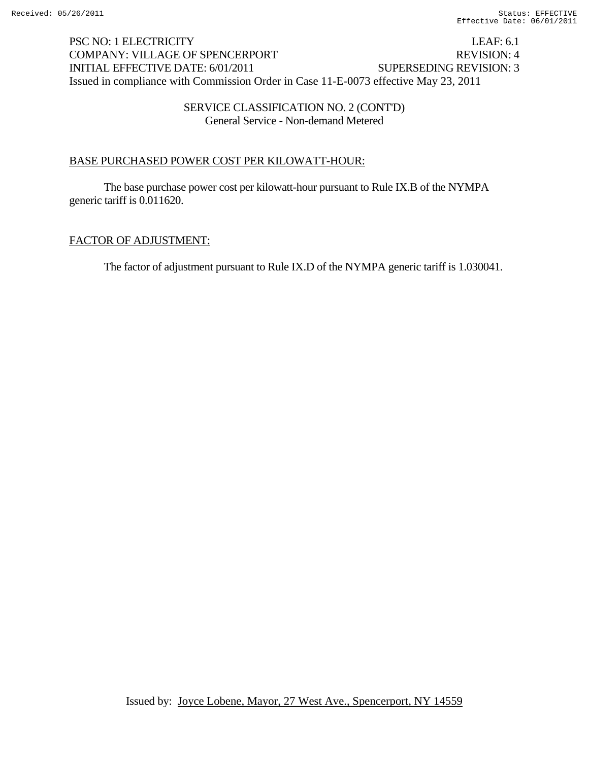# PSC NO: 1 ELECTRICITY LEAF: 6.1 COMPANY: VILLAGE OF SPENCERPORT REVISION: 4 INITIAL EFFECTIVE DATE: 6/01/2011 SUPERSEDING REVISION: 3 Issued in compliance with Commission Order in Case 11-E-0073 effective May 23, 2011

## SERVICE CLASSIFICATION NO. 2 (CONT'D) General Service - Non-demand Metered

# BASE PURCHASED POWER COST PER KILOWATT-HOUR:

The base purchase power cost per kilowatt-hour pursuant to Rule IX.B of the NYMPA generic tariff is 0.011620.

# FACTOR OF ADJUSTMENT: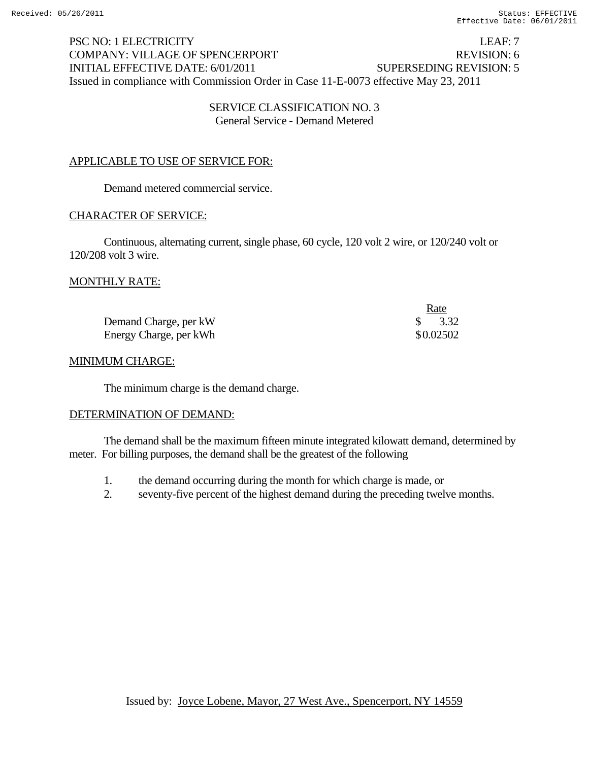PSC NO: 1 ELECTRICITY LEAF: 7 COMPANY: VILLAGE OF SPENCERPORT REVISION: 6 INITIAL EFFECTIVE DATE: 6/01/2011 SUPERSEDING REVISION: 5 Issued in compliance with Commission Order in Case 11-E-0073 effective May 23, 2011

### SERVICE CLASSIFICATION NO. 3 General Service - Demand Metered

# APPLICABLE TO USE OF SERVICE FOR:

Demand metered commercial service.

## CHARACTER OF SERVICE:

Continuous, alternating current, single phase, 60 cycle, 120 volt 2 wire, or 120/240 volt or 120/208 volt 3 wire.

## MONTHLY RATE:

|                        | <u>Rate</u> |
|------------------------|-------------|
| Demand Charge, per kW  | $\$\,$ 3.32 |
| Energy Charge, per kWh | \$0.02502   |

### MINIMUM CHARGE:

The minimum charge is the demand charge.

### DETERMINATION OF DEMAND:

The demand shall be the maximum fifteen minute integrated kilowatt demand, determined by meter. For billing purposes, the demand shall be the greatest of the following

- 1. the demand occurring during the month for which charge is made, or
- 2. seventy-five percent of the highest demand during the preceding twelve months.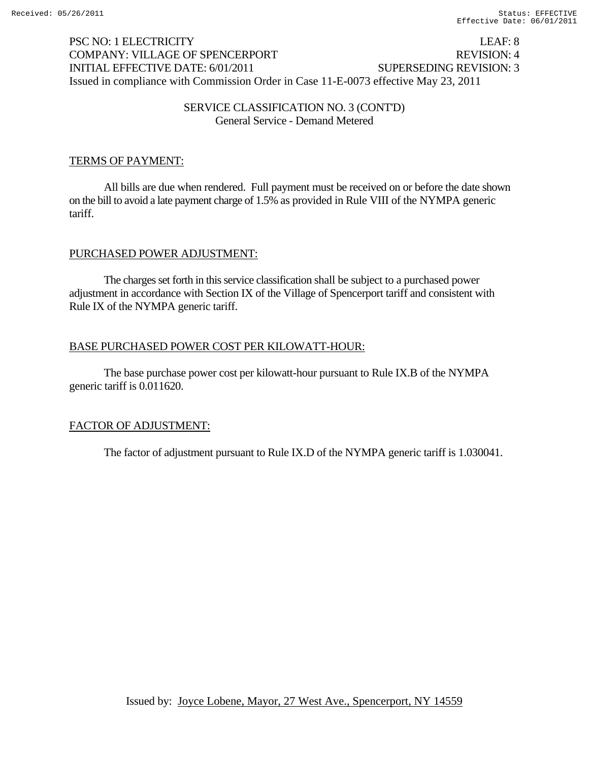# PSC NO: 1 ELECTRICITY LEAF: 8 COMPANY: VILLAGE OF SPENCERPORT REVISION: 4 INITIAL EFFECTIVE DATE: 6/01/2011 SUPERSEDING REVISION: 3 Issued in compliance with Commission Order in Case 11-E-0073 effective May 23, 2011

## SERVICE CLASSIFICATION NO. 3 (CONT'D) General Service - Demand Metered

# TERMS OF PAYMENT:

All bills are due when rendered. Full payment must be received on or before the date shown on the bill to avoid a late payment charge of 1.5% as provided in Rule VIII of the NYMPA generic tariff.

# PURCHASED POWER ADJUSTMENT:

The charges set forth in this service classification shall be subject to a purchased power adjustment in accordance with Section IX of the Village of Spencerport tariff and consistent with Rule IX of the NYMPA generic tariff.

# BASE PURCHASED POWER COST PER KILOWATT-HOUR:

The base purchase power cost per kilowatt-hour pursuant to Rule IX.B of the NYMPA generic tariff is 0.011620.

# FACTOR OF ADJUSTMENT: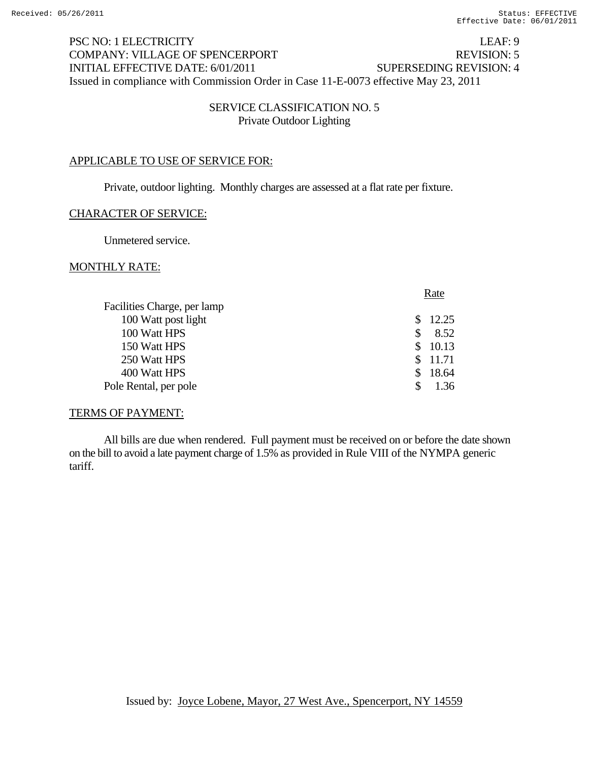# PSC NO: 1 ELECTRICITY LEAF: 9 COMPANY: VILLAGE OF SPENCERPORT REVISION: 5 INITIAL EFFECTIVE DATE: 6/01/2011 SUPERSEDING REVISION: 4 Issued in compliance with Commission Order in Case 11-E-0073 effective May 23, 2011

### SERVICE CLASSIFICATION NO. 5 Private Outdoor Lighting

### APPLICABLE TO USE OF SERVICE FOR:

Private, outdoor lighting. Monthly charges are assessed at a flat rate per fixture.

### CHARACTER OF SERVICE:

Unmetered service.

#### MONTHLY RATE:

|               | Rate    |
|---------------|---------|
|               |         |
|               | 12.25   |
|               | 8.52    |
| S.            | 10.13   |
|               | \$11.71 |
| $\mathcal{S}$ | 18.64   |
|               | 1.36    |
|               |         |

#### TERMS OF PAYMENT:

All bills are due when rendered. Full payment must be received on or before the date shown on the bill to avoid a late payment charge of 1.5% as provided in Rule VIII of the NYMPA generic tariff.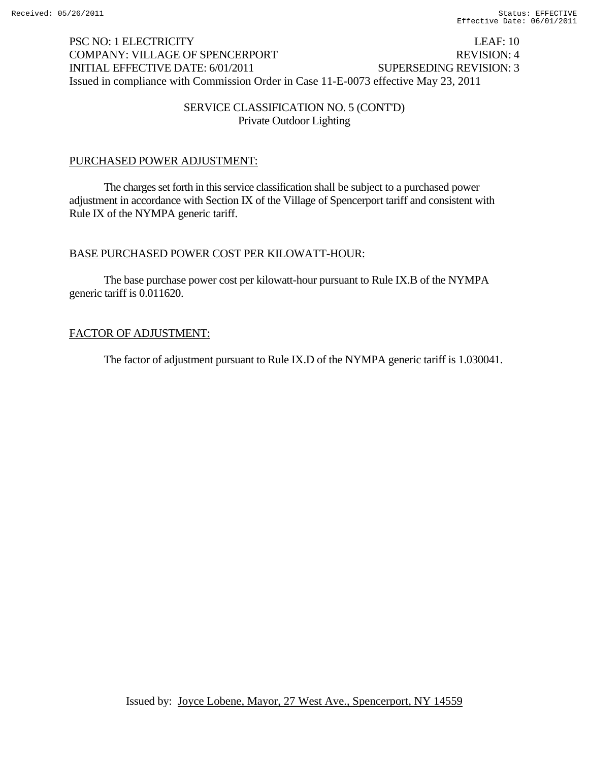# PSC NO: 1 ELECTRICITY LEAF: 10 COMPANY: VILLAGE OF SPENCERPORT REVISION: 4 INITIAL EFFECTIVE DATE: 6/01/2011 SUPERSEDING REVISION: 3 Issued in compliance with Commission Order in Case 11-E-0073 effective May 23, 2011

## SERVICE CLASSIFICATION NO. 5 (CONT'D) Private Outdoor Lighting

# PURCHASED POWER ADJUSTMENT:

The charges set forth in this service classification shall be subject to a purchased power adjustment in accordance with Section IX of the Village of Spencerport tariff and consistent with Rule IX of the NYMPA generic tariff.

# BASE PURCHASED POWER COST PER KILOWATT-HOUR:

The base purchase power cost per kilowatt-hour pursuant to Rule IX.B of the NYMPA generic tariff is 0.011620.

# FACTOR OF ADJUSTMENT: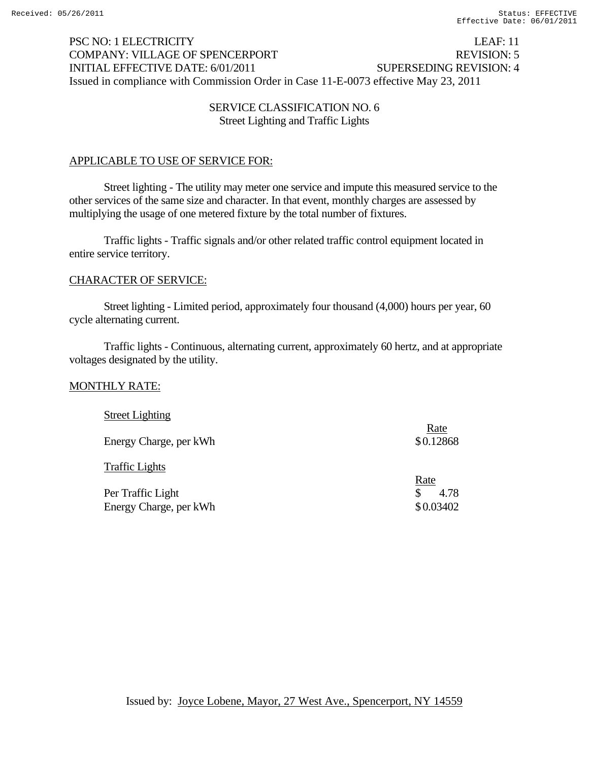# PSC NO: 1 ELECTRICITY LEAF: 11 COMPANY: VILLAGE OF SPENCERPORT REVISION: 5 INITIAL EFFECTIVE DATE: 6/01/2011 SUPERSEDING REVISION: 4 Issued in compliance with Commission Order in Case 11-E-0073 effective May 23, 2011

## SERVICE CLASSIFICATION NO. 6 Street Lighting and Traffic Lights

# APPLICABLE TO USE OF SERVICE FOR:

Street lighting - The utility may meter one service and impute this measured service to the other services of the same size and character. In that event, monthly charges are assessed by multiplying the usage of one metered fixture by the total number of fixtures.

Traffic lights - Traffic signals and/or other related traffic control equipment located in entire service territory.

### CHARACTER OF SERVICE:

Street lighting - Limited period, approximately four thousand (4,000) hours per year, 60 cycle alternating current.

Traffic lights - Continuous, alternating current, approximately 60 hertz, and at appropriate voltages designated by the utility.

### MONTHLY RATE:

| <b>Street Lighting</b> | Rate        |
|------------------------|-------------|
| Energy Charge, per kWh | \$0.12868   |
| <b>Traffic Lights</b>  |             |
|                        | Rate        |
| Per Traffic Light      | 4.78<br>\$. |
| Energy Charge, per kWh | \$0.03402   |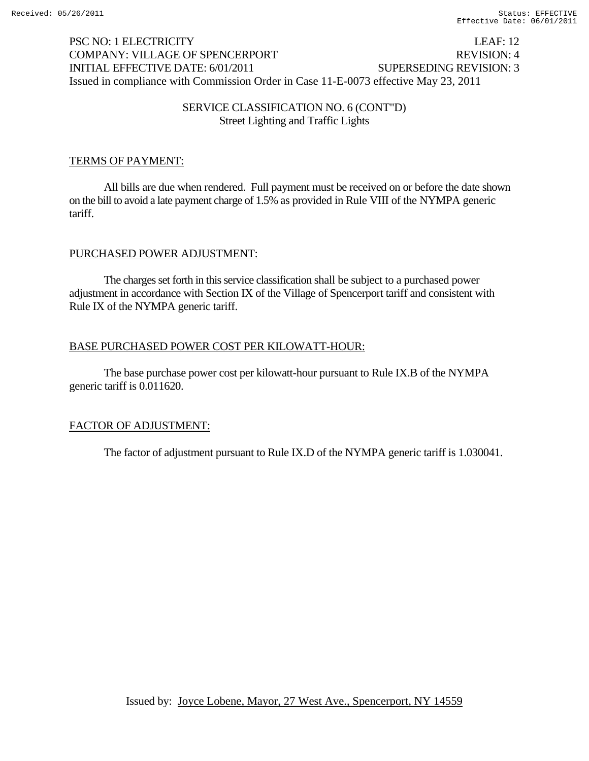# PSC NO: 1 ELECTRICITY LEAF: 12 COMPANY: VILLAGE OF SPENCERPORT REVISION: 4 INITIAL EFFECTIVE DATE: 6/01/2011 SUPERSEDING REVISION: 3 Issued in compliance with Commission Order in Case 11-E-0073 effective May 23, 2011

## SERVICE CLASSIFICATION NO. 6 (CONT"D) Street Lighting and Traffic Lights

## TERMS OF PAYMENT:

All bills are due when rendered. Full payment must be received on or before the date shown on the bill to avoid a late payment charge of 1.5% as provided in Rule VIII of the NYMPA generic tariff.

## PURCHASED POWER ADJUSTMENT:

The charges set forth in this service classification shall be subject to a purchased power adjustment in accordance with Section IX of the Village of Spencerport tariff and consistent with Rule IX of the NYMPA generic tariff.

## BASE PURCHASED POWER COST PER KILOWATT-HOUR:

The base purchase power cost per kilowatt-hour pursuant to Rule IX.B of the NYMPA generic tariff is 0.011620.

# FACTOR OF ADJUSTMENT: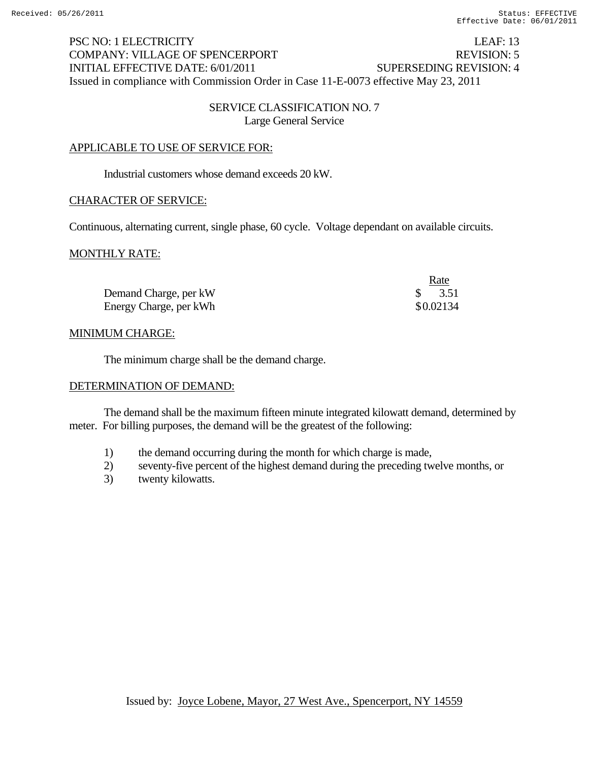# PSC NO: 1 ELECTRICITY LEAF: 13 COMPANY: VILLAGE OF SPENCERPORT REVISION: 5 INITIAL EFFECTIVE DATE: 6/01/2011 SUPERSEDING REVISION: 4 Issued in compliance with Commission Order in Case 11-E-0073 effective May 23, 2011

## SERVICE CLASSIFICATION NO. 7 Large General Service

## APPLICABLE TO USE OF SERVICE FOR:

Industrial customers whose demand exceeds 20 kW.

### CHARACTER OF SERVICE:

Continuous, alternating current, single phase, 60 cycle. Voltage dependant on available circuits.

### MONTHLY RATE:

|                        | <u>Rate</u> |
|------------------------|-------------|
| Demand Charge, per kW  | $\$\,$ 3.51 |
| Energy Charge, per kWh | \$0.02134   |

### MINIMUM CHARGE:

The minimum charge shall be the demand charge.

#### DETERMINATION OF DEMAND:

The demand shall be the maximum fifteen minute integrated kilowatt demand, determined by meter. For billing purposes, the demand will be the greatest of the following:

- 1) the demand occurring during the month for which charge is made,
- 2) seventy-five percent of the highest demand during the preceding twelve months, or
- 3) twenty kilowatts.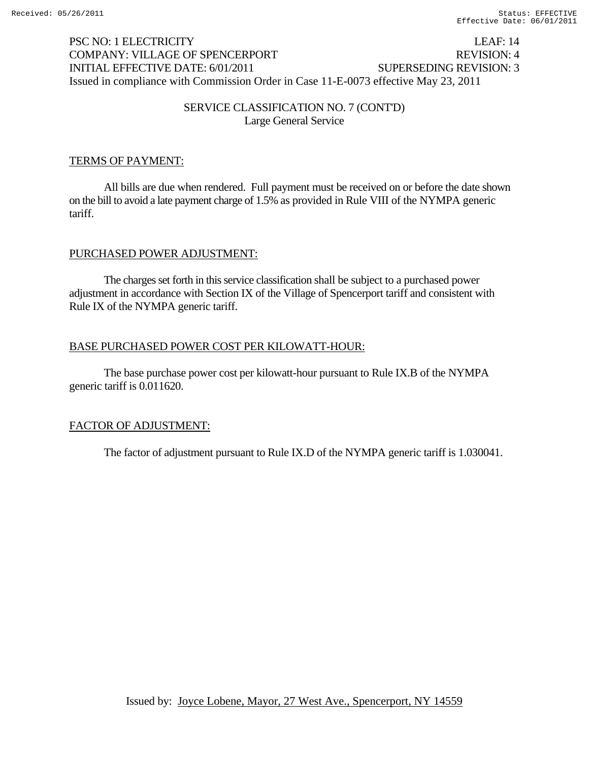# PSC NO: 1 ELECTRICITY LEAF: 14 COMPANY: VILLAGE OF SPENCERPORT REVISION: 4 INITIAL EFFECTIVE DATE: 6/01/2011 SUPERSEDING REVISION: 3 Issued in compliance with Commission Order in Case 11-E-0073 effective May 23, 2011

## SERVICE CLASSIFICATION NO. 7 (CONT'D) Large General Service

## TERMS OF PAYMENT:

All bills are due when rendered. Full payment must be received on or before the date shown on the bill to avoid a late payment charge of 1.5% as provided in Rule VIII of the NYMPA generic tariff.

## PURCHASED POWER ADJUSTMENT:

The charges set forth in this service classification shall be subject to a purchased power adjustment in accordance with Section IX of the Village of Spencerport tariff and consistent with Rule IX of the NYMPA generic tariff.

## BASE PURCHASED POWER COST PER KILOWATT-HOUR:

The base purchase power cost per kilowatt-hour pursuant to Rule IX.B of the NYMPA generic tariff is 0.011620.

# FACTOR OF ADJUSTMENT: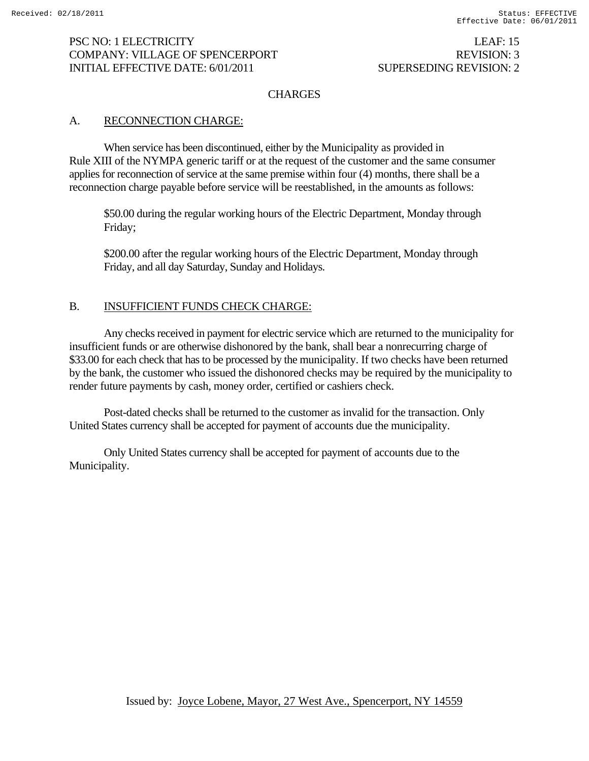### **CHARGES**

### A. RECONNECTION CHARGE:

When service has been discontinued, either by the Municipality as provided in Rule XIII of the NYMPA generic tariff or at the request of the customer and the same consumer applies for reconnection of service at the same premise within four (4) months, there shall be a reconnection charge payable before service will be reestablished, in the amounts as follows:

\$50.00 during the regular working hours of the Electric Department, Monday through Friday;

\$200.00 after the regular working hours of the Electric Department, Monday through Friday, and all day Saturday, Sunday and Holidays.

# B. **INSUFFICIENT FUNDS CHECK CHARGE:**

Any checks received in payment for electric service which are returned to the municipality for insufficient funds or are otherwise dishonored by the bank, shall bear a nonrecurring charge of \$33.00 for each check that has to be processed by the municipality. If two checks have been returned by the bank, the customer who issued the dishonored checks may be required by the municipality to render future payments by cash, money order, certified or cashiers check.

Post-dated checks shall be returned to the customer as invalid for the transaction. Only United States currency shall be accepted for payment of accounts due the municipality.

Only United States currency shall be accepted for payment of accounts due to the Municipality.